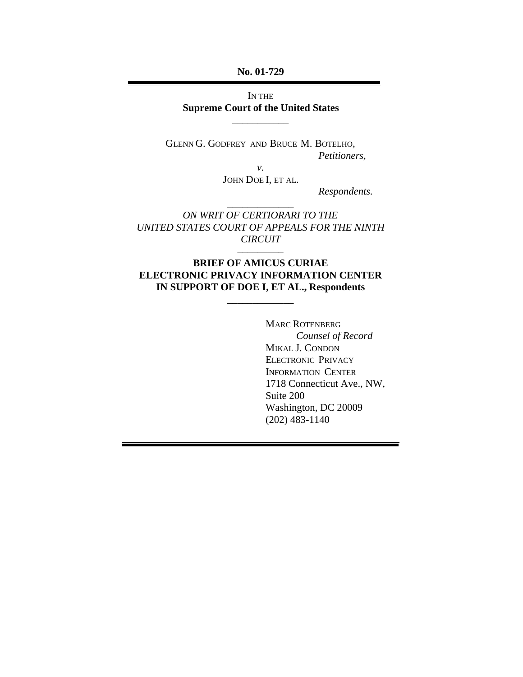**No. 01-729**

IN THE **Supreme Court of the United States**

\_\_\_\_\_\_\_\_\_\_\_

GLENN G. GODFREY AND BRUCE M. BOTELHO, *Petitioners,*

> *v.* JOHN DOE I, ET AL.

*Respondents.*

*ON WRIT OF CERTIORARI TO THE UNITED STATES COURT OF APPEALS FOR THE NINTH CIRCUIT*

\_\_\_\_\_\_\_\_\_\_\_\_\_

# **BRIEF OF AMICUS CURIAE ELECTRONIC PRIVACY INFORMATION CENTER IN SUPPORT OF DOE I, ET AL., Respondents**

\_\_\_\_\_\_\_\_\_\_\_\_\_

–––––––––

MARC ROTENBERG *Counsel of Record* MIKAL J. CONDON ELECTRONIC PRIVACY INFORMATION CENTER 1718 Connecticut Ave., NW, Suite 200 Washington, DC 20009 (202) 483-1140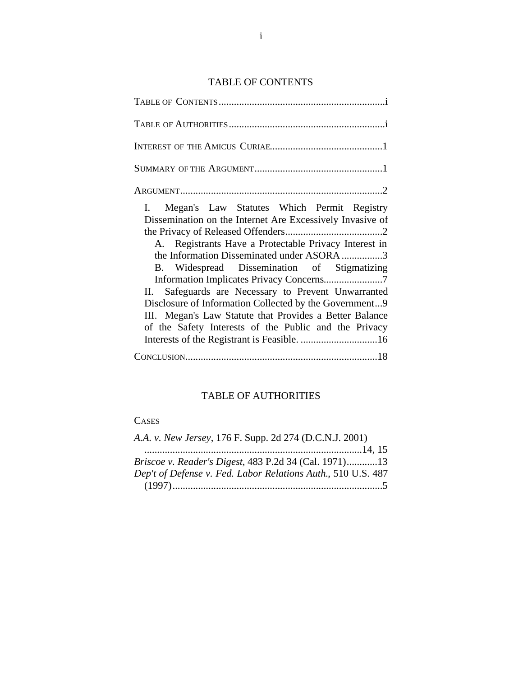# TABLE OF CONTENTS

| I. Megan's Law Statutes Which Permit Registry             |
|-----------------------------------------------------------|
| Dissemination on the Internet Are Excessively Invasive of |
|                                                           |
| A. Registrants Have a Protectable Privacy Interest in     |
| the Information Disseminated under ASORA 3                |
| B. Widespread Dissemination of Stigmatizing               |
|                                                           |
| II. Safeguards are Necessary to Prevent Unwarranted       |
| Disclosure of Information Collected by the Government9    |
| III. Megan's Law Statute that Provides a Better Balance   |
| of the Safety Interests of the Public and the Privacy     |
|                                                           |
|                                                           |

# TABLE OF AUTHORITIES

# **CASES**

| A.A. v. New Jersey, 176 F. Supp. 2d 274 (D.C.N.J. 2001)      |  |
|--------------------------------------------------------------|--|
|                                                              |  |
| Briscoe v. Reader's Digest, 483 P.2d 34 (Cal. 1971)13        |  |
| Dep't of Defense v. Fed. Labor Relations Auth., 510 U.S. 487 |  |
|                                                              |  |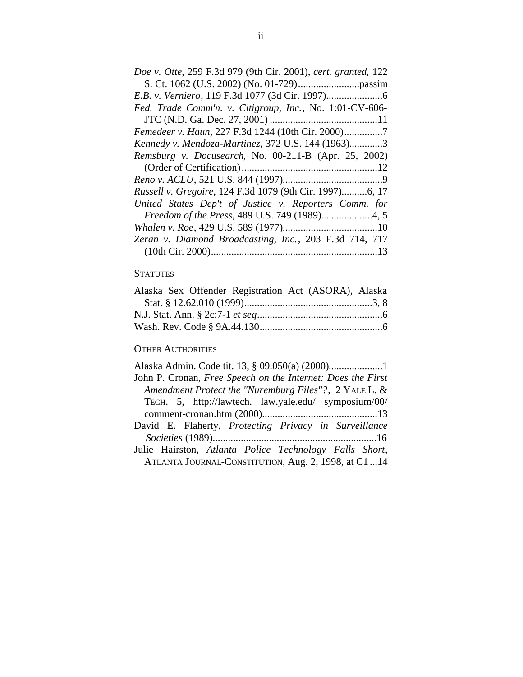## **STATUTES**

| Alaska Sex Offender Registration Act (ASORA), Alaska |  |
|------------------------------------------------------|--|
|                                                      |  |
|                                                      |  |
|                                                      |  |

## **OTHER AUTHORITIES**

| John P. Cronan, Free Speech on the Internet: Does the First |
|-------------------------------------------------------------|
| Amendment Protect the "Nuremburg Files"?, 2 YALE L. &       |
| TECH. 5, http://lawtech. law.yale.edu/ symposium/00/        |
|                                                             |
| David E. Flaherty, Protecting Privacy in Surveillance       |
|                                                             |
| Julie Hairston, Atlanta Police Technology Falls Short,      |
| ATLANTA JOURNAL-CONSTITUTION, Aug. 2, 1998, at C1  14       |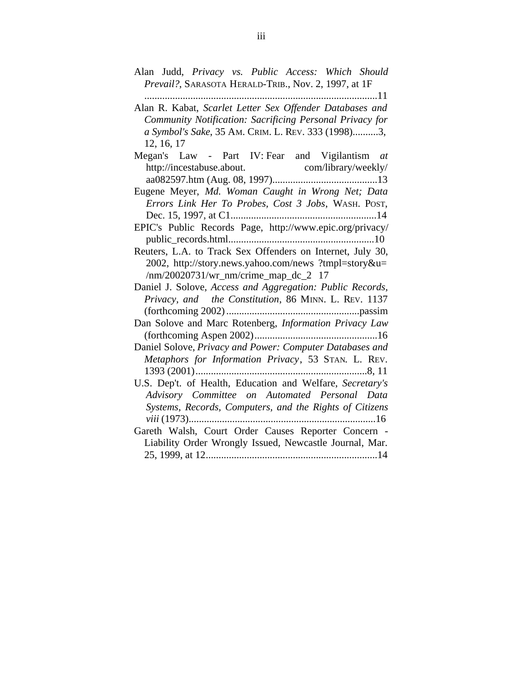- Alan Judd, *Privacy vs. Public Access: Which Should Prevail?*, SARASOTA HERALD-TRIB., Nov. 2, 1997, at 1F
- ...........................................................................................11 Alan R. Kabat, *Scarlet Letter Sex Offender Databases and Community Notification: Sacrificing Personal Privacy for a Symbol's Sake*, 35 AM. CRIM. L. REV. 333 (1998)..........3, 12, 16, 17
- Megan's Law Part IV: Fear and Vigilantism *at* [http://incestabuse.about.](http://incestabuse.about) com/library/weekly/ aa082597.htm (Aug. 08, 1997).........................................13 Eugene Meyer, *Md. Woman Caught in Wrong Net; Data Errors Link Her To Probes, Cost 3 Jobs*, WASH. POST, Dec. 15, 1997, at C1.........................................................14 EPIC's Public Records Page, <http://www.epic.org/privacy/> public\_records.html.........................................................10 Reuters, L.A. to Track Sex Offenders on Internet, July 30, 2002, <http://story.news.yahoo.com/news>?tmpl=story&u= /nm/20020731/wr\_nm/crime\_map\_dc\_2 17 Daniel J. Solove, *Access and Aggregation: Public Records, Privacy, and the Constitution*, 86 MINN. L. REV. 1137 (forthcoming 2002)....................................................passim Dan Solove and Marc Rotenberg, *Information Privacy Law* (forthcoming Aspen 2002)................................................16 Daniel Solove, *Privacy and Power: Computer Databases and Metaphors for Information Privacy*, 53 STAN. L. REV. 1393 (2001)...................................................................8, 11 U.S. Dep't. of Health, Education and Welfare, *Secretary's Advisory Committee on Automated Personal Data Systems, Records, Computers, and the Rights of Citizens viii* (1973).........................................................................16 Gareth Walsh, Court Order Causes Reporter Concern - Liability Order Wrongly Issued, Newcastle Journal, Mar.
	- 25, 1999, at 12...................................................................14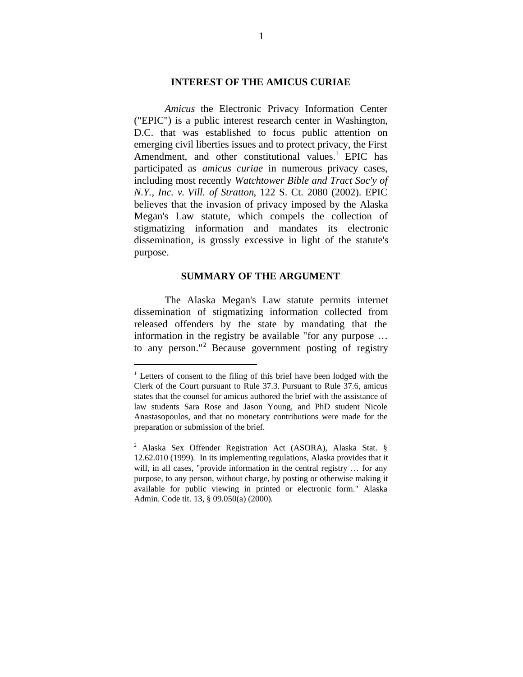### **INTEREST OF THE AMICUS CURIAE**

*Amicus* the Electronic Privacy Information Center ("EPIC") is a public interest research center in Washington, D.C. that was established to focus public attention on emerging civil liberties issues and to protect privacy, the First Amendment, and other constitutional values.<sup>1</sup> EPIC has participated as *amicus curiae* in numerous privacy cases, including most recently *Watchtower Bible and Tract Soc'y of N.Y., Inc. v. Vill. of Stratton*, 122 S. Ct. 2080 (2002). EPIC believes that the invasion of privacy imposed by the Alaska Megan's Law statute, which compels the collection of stigmatizing information and mandates its electronic dissemination, is grossly excessive in light of the statute's purpose.

#### **SUMMARY OF THE ARGUMENT**

The Alaska Megan's Law statute permits internet dissemination of stigmatizing information collected from released offenders by the state by mandating that the information in the registry be available "for any purpose … to any person."<sup>2</sup> Because government posting of registry

<sup>&</sup>lt;sup>1</sup> Letters of consent to the filing of this brief have been lodged with the Clerk of the Court pursuant to Rule 37.3. Pursuant to Rule 37.6, amicus states that the counsel for amicus authored the brief with the assistance of law students Sara Rose and Jason Young, and PhD student Nicole Anastasopoulos, and that no monetary contributions were made for the preparation or submission of the brief.

<sup>2</sup> Alaska Sex Offender Registration Act (ASORA), Alaska Stat. § 12.62.010 (1999). In its implementing regulations, Alaska provides that it will, in all cases, "provide information in the central registry ... for any purpose, to any person, without charge, by posting or otherwise making it available for public viewing in printed or electronic form." Alaska Admin. Code tit. 13, § 09.050(a) (2000).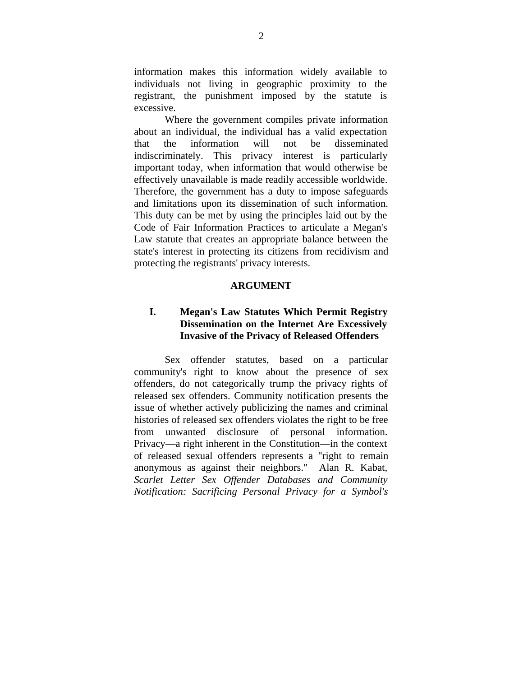information makes this information widely available to individuals not living in geographic proximity to the registrant, the punishment imposed by the statute is excessive.

Where the government compiles private information about an individual, the individual has a valid expectation that the information will not be disseminated indiscriminately. This privacy interest is particularly important today, when information that would otherwise be effectively unavailable is made readily accessible worldwide. Therefore, the government has a duty to impose safeguards and limitations upon its dissemination of such information. This duty can be met by using the principles laid out by the Code of Fair Information Practices to articulate a Megan's Law statute that creates an appropriate balance between the state's interest in protecting its citizens from recidivism and protecting the registrants' privacy interests.

### **ARGUMENT**

# **I. Megan's Law Statutes Which Permit Registry Dissemination on the Internet Are Excessively Invasive of the Privacy of Released Offenders**

Sex offender statutes, based on a particular community's right to know about the presence of sex offenders, do not categorically trump the privacy rights of released sex offenders. Community notification presents the issue of whether actively publicizing the names and criminal histories of released sex offenders violates the right to be free from unwanted disclosure of personal information. Privacy—a right inherent in the Constitution—in the context of released sexual offenders represents a "right to remain anonymous as against their neighbors." Alan R. Kabat, *Scarlet Letter Sex Offender Databases and Community Notification: Sacrificing Personal Privacy for a Symbol's*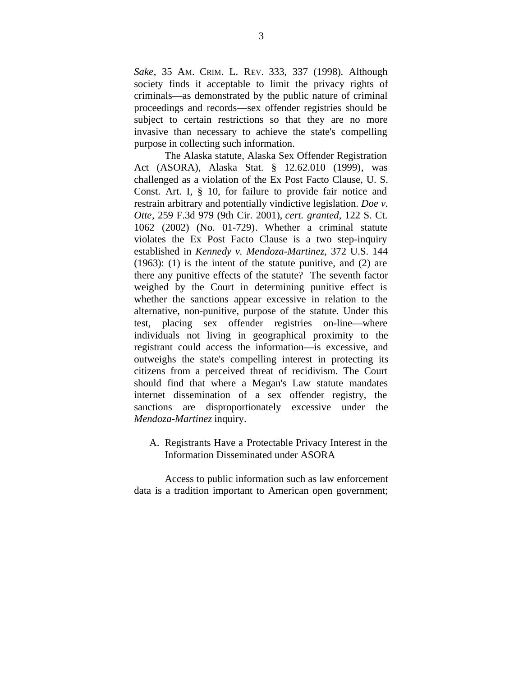*Sake*, 35 AM. CRIM. L. REV. 333, 337 (1998). Although society finds it acceptable to limit the privacy rights of criminals––as demonstrated by the public nature of criminal proceedings and records––sex offender registries should be subject to certain restrictions so that they are no more invasive than necessary to achieve the state's compelling purpose in collecting such information.

The Alaska statute, Alaska Sex Offender Registration Act (ASORA), Alaska Stat. § 12.62.010 (1999), was challenged as a violation of the Ex Post Facto Clause, U. S. Const. Art. I, § 10, for failure to provide fair notice and restrain arbitrary and potentially vindictive legislation. *Doe v. Otte*, 259 F.3d 979 (9th Cir. 2001), *cert. granted*, 122 S. Ct. 1062 (2002) (No. 01-729). Whether a criminal statute violates the Ex Post Facto Clause is a two step-inquiry established in *Kennedy v. Mendoza-Martinez,* 372 U.S. 144 (1963): (1) is the intent of the statute punitive, and (2) are there any punitive effects of the statute? The seventh factor weighed by the Court in determining punitive effect is whether the sanctions appear excessive in relation to the alternative, non-punitive, purpose of the statute*.* Under this test, placing sex offender registries on-line—where individuals not living in geographical proximity to the registrant could access the information—is excessive, and outweighs the state's compelling interest in protecting its citizens from a perceived threat of recidivism. The Court should find that where a Megan's Law statute mandates internet dissemination of a sex offender registry, the sanctions are disproportionately excessive under the *Mendoza-Martinez* inquiry.

A. Registrants Have a Protectable Privacy Interest in the Information Disseminated under ASORA

Access to public information such as law enforcement data is a tradition important to American open government;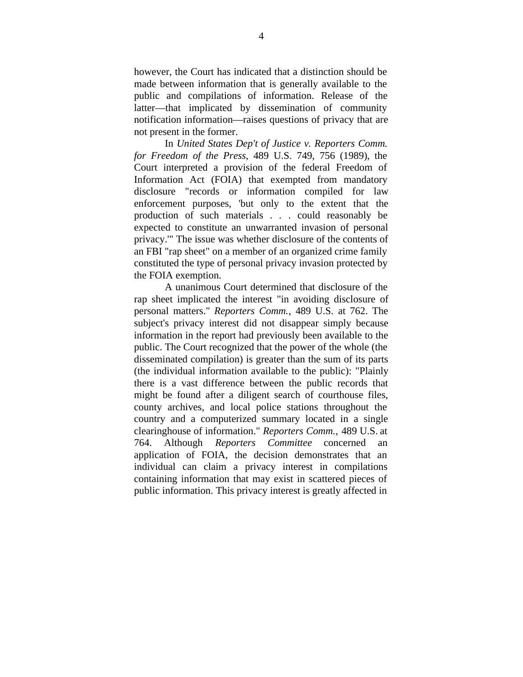however, the Court has indicated that a distinction should be made between information that is generally available to the public and compilations of information. Release of the latter––that implicated by dissemination of community notification information––raises questions of privacy that are not present in the former.

In *United States Dep't of Justice v. Reporters Comm. for Freedom of the Press*, 489 U.S. 749, 756 (1989), the Court interpreted a provision of the federal Freedom of Information Act (FOIA) that exempted from mandatory disclosure "records or information compiled for law enforcement purposes, 'but only to the extent that the production of such materials . . . could reasonably be expected to constitute an unwarranted invasion of personal privacy.'" The issue was whether disclosure of the contents of an FBI "rap sheet" on a member of an organized crime family constituted the type of personal privacy invasion protected by the FOIA exemption.

A unanimous Court determined that disclosure of the rap sheet implicated the interest "in avoiding disclosure of personal matters." *Reporters Comm.*, 489 U.S. at 762. The subject's privacy interest did not disappear simply because information in the report had previously been available to the public. The Court recognized that the power of the whole (the disseminated compilation) is greater than the sum of its parts (the individual information available to the public): "Plainly there is a vast difference between the public records that might be found after a diligent search of courthouse files, county archives, and local police stations throughout the country and a computerized summary located in a single clearinghouse of information." *Reporters Comm.*, 489 U.S. at 764. Although *Reporters Committee* concerned an application of FOIA, the decision demonstrates that an individual can claim a privacy interest in compilations containing information that may exist in scattered pieces of public information. This privacy interest is greatly affected in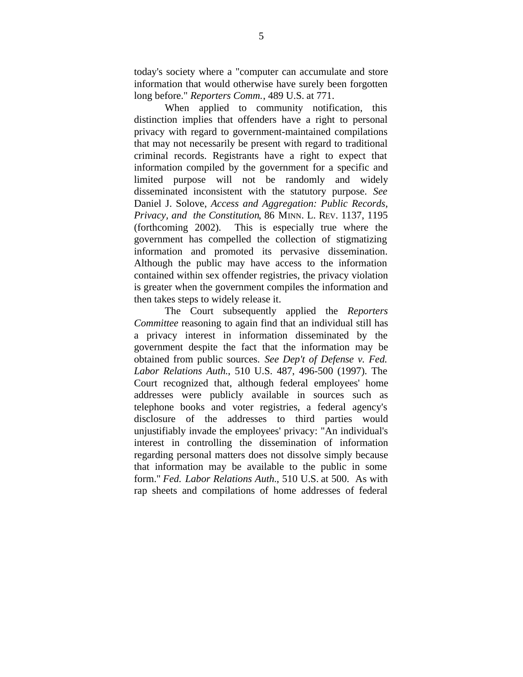today's society where a "computer can accumulate and store information that would otherwise have surely been forgotten long before." *Reporters Comm.*, 489 U.S. at 771.

When applied to community notification, this distinction implies that offenders have a right to personal privacy with regard to government-maintained compilations that may not necessarily be present with regard to traditional criminal records. Registrants have a right to expect that information compiled by the government for a specific and limited purpose will not be randomly and widely disseminated inconsistent with the statutory purpose. *See* Daniel J. Solove, *Access and Aggregation: Public Records, Privacy, and the Constitution*, 86 MINN. L. REV. 1137, 1195 (forthcoming 2002). This is especially true where the government has compelled the collection of stigmatizing information and promoted its pervasive dissemination. Although the public may have access to the information contained within sex offender registries, the privacy violation is greater when the government compiles the information and then takes steps to widely release it.

The Court subsequently applied the *Reporters Committee* reasoning to again find that an individual still has a privacy interest in information disseminated by the government despite the fact that the information may be obtained from public sources. *See Dep't of Defense v. Fed. Labor Relations Auth.*, 510 U.S. 487, 496-500 (1997). The Court recognized that, although federal employees' home addresses were publicly available in sources such as telephone books and voter registries, a federal agency's disclosure of the addresses to third parties would unjustifiably invade the employees' privacy: "An individual's interest in controlling the dissemination of information regarding personal matters does not dissolve simply because that information may be available to the public in some form." *Fed. Labor Relations Auth.*, 510 U.S. at 500. As with rap sheets and compilations of home addresses of federal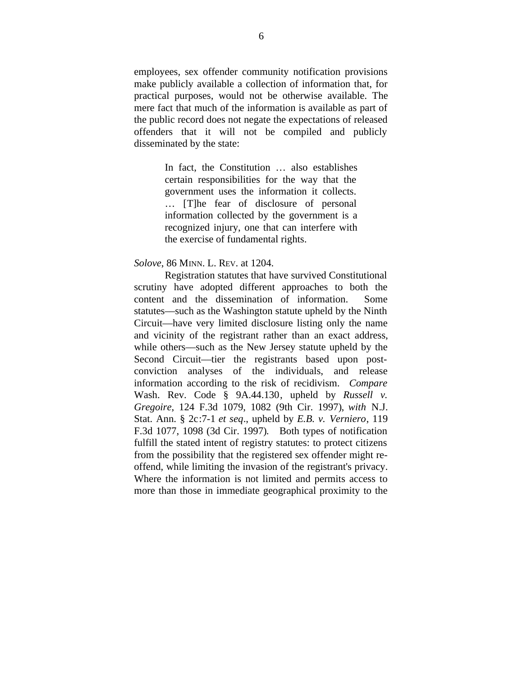employees, sex offender community notification provisions make publicly available a collection of information that, for practical purposes, would not be otherwise available. The mere fact that much of the information is available as part of the public record does not negate the expectations of released offenders that it will not be compiled and publicly disseminated by the state:

> In fact, the Constitution … also establishes certain responsibilities for the way that the government uses the information it collects. … [T]he fear of disclosure of personal information collected by the government is a recognized injury, one that can interfere with the exercise of fundamental rights.

#### *Solove*, 86 MINN. L. REV. at 1204.

Registration statutes that have survived Constitutional scrutiny have adopted different approaches to both the content and the dissemination of information. Some statutes––such as the Washington statute upheld by the Ninth Circuit––have very limited disclosure listing only the name and vicinity of the registrant rather than an exact address, while others––such as the New Jersey statute upheld by the Second Circuit—tier the registrants based upon postconviction analyses of the individuals, and release information according to the risk of recidivism. *Compare* Wash. Rev. Code § 9A.44.130, upheld by *Russell v. Gregoire*, 124 F.3d 1079, 1082 (9th Cir. 1997), *with* N.J. Stat. Ann. § 2c:7-1 *et seq*., upheld by *E.B. v. Verniero*, 119 F.3d 1077, 1098 (3d Cir. 1997). Both types of notification fulfill the stated intent of registry statutes: to protect citizens from the possibility that the registered sex offender might reoffend, while limiting the invasion of the registrant's privacy. Where the information is not limited and permits access to more than those in immediate geographical proximity to the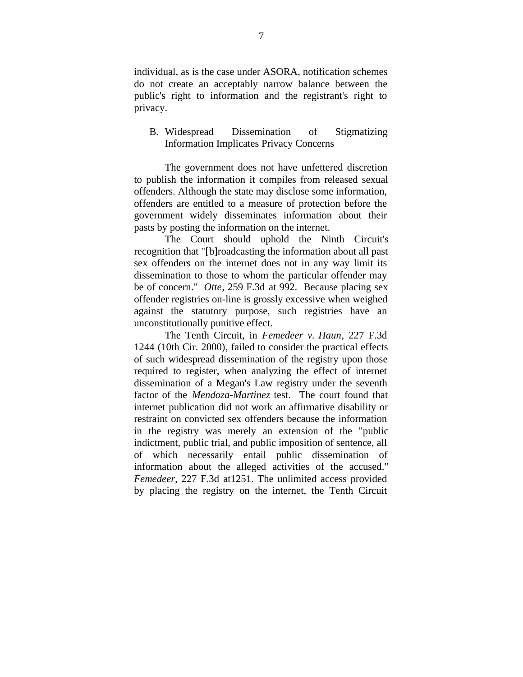individual, as is the case under ASORA, notification schemes do not create an acceptably narrow balance between the public's right to information and the registrant's right to privacy.

## B. Widespread Dissemination of Stigmatizing Information Implicates Privacy Concerns

The government does not have unfettered discretion to publish the information it compiles from released sexual offenders. Although the state may disclose some information, offenders are entitled to a measure of protection before the government widely disseminates information about their pasts by posting the information on the internet.

The Court should uphold the Ninth Circuit's recognition that "[b]roadcasting the information about all past sex offenders on the internet does not in any way limit its dissemination to those to whom the particular offender may be of concern." *Otte*, 259 F.3d at 992. Because placing sex offender registries on-line is grossly excessive when weighed against the statutory purpose, such registries have an unconstitutionally punitive effect.

The Tenth Circuit, in *Femedeer v. Haun*, 227 F.3d 1244 (10th Cir. 2000), failed to consider the practical effects of such widespread dissemination of the registry upon those required to register, when analyzing the effect of internet dissemination of a Megan's Law registry under the seventh factor of the *Mendoza-Martinez* test. The court found that internet publication did not work an affirmative disability or restraint on convicted sex offenders because the information in the registry was merely an extension of the "public indictment, public trial, and public imposition of sentence, all of which necessarily entail public dissemination of information about the alleged activities of the accused." *Femedeer*, 227 F.3d at1251. The unlimited access provided by placing the registry on the internet, the Tenth Circuit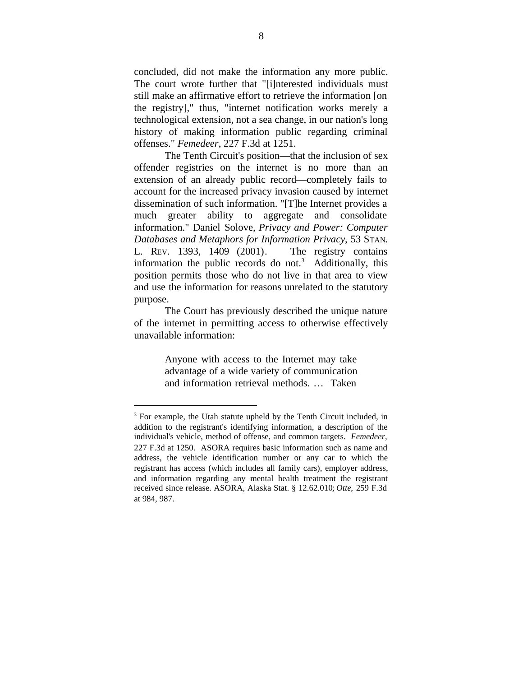concluded, did not make the information any more public. The court wrote further that "[i]nterested individuals must still make an affirmative effort to retrieve the information [on the registry]," thus, "internet notification works merely a technological extension, not a sea change, in our nation's long history of making information public regarding criminal offenses." *Femedeer*, 227 F.3d at 1251*.*

The Tenth Circuit's position—that the inclusion of sex offender registries on the internet is no more than an extension of an already public record—completely fails to account for the increased privacy invasion caused by internet dissemination of such information. "[T]he Internet provides a much greater ability to aggregate and consolidate information." Daniel Solove, *Privacy and Power: Computer Databases and Metaphors for Information Privacy*, 53 STAN. L. REV. 1393, 1409 (2001). The registry contains information the public records do not.<sup>3</sup> Additionally, this position permits those who do not live in that area to view and use the information for reasons unrelated to the statutory purpose.

The Court has previously described the unique nature of the internet in permitting access to otherwise effectively unavailable information:

> Anyone with access to the Internet may take advantage of a wide variety of communication and information retrieval methods. … Taken

<sup>&</sup>lt;sup>3</sup> For example, the Utah statute upheld by the Tenth Circuit included, in addition to the registrant's identifying information, a description of the individual's vehicle, method of offense, and common targets. *Femedeer*, 227 F.3d at 1250. ASORA requires basic information such as name and address, the vehicle identification number or any car to which the registrant has access (which includes all family cars), employer address, and information regarding any mental health treatment the registrant received since release. ASORA, Alaska Stat. § 12.62.010; *Otte*, 259 F.3d at 984, 987.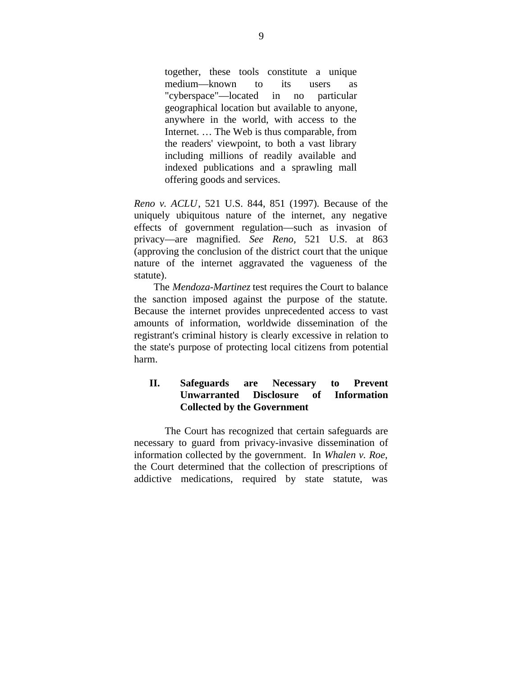together, these tools constitute a unique medium—known to its users as "cyberspace"—located in no particular geographical location but available to anyone, anywhere in the world, with access to the Internet. … The Web is thus comparable, from the readers' viewpoint, to both a vast library including millions of readily available and indexed publications and a sprawling mall offering goods and services.

*Reno v. ACLU*, 521 U.S. 844, 851 (1997). Because of the uniquely ubiquitous nature of the internet, any negative effects of government regulation––such as invasion of privacy––are magnified. *See Reno,* 521 U.S. at 863 (approving the conclusion of the district court that the unique nature of the internet aggravated the vagueness of the statute).

The *Mendoza-Martinez* test requires the Court to balance the sanction imposed against the purpose of the statute. Because the internet provides unprecedented access to vast amounts of information, worldwide dissemination of the registrant's criminal history is clearly excessive in relation to the state's purpose of protecting local citizens from potential harm.

# **II. Safeguards are Necessary to Prevent Unwarranted Disclosure of Information Collected by the Government**

The Court has recognized that certain safeguards are necessary to guard from privacy-invasive dissemination of information collected by the government. In *Whalen v. Roe*, the Court determined that the collection of prescriptions of addictive medications, required by state statute, was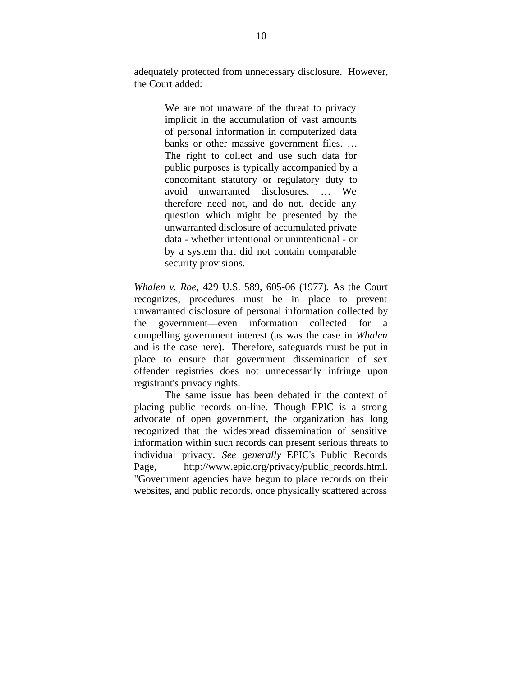adequately protected from unnecessary disclosure. However, the Court added:

> We are not unaware of the threat to privacy implicit in the accumulation of vast amounts of personal information in computerized data banks or other massive government files. … The right to collect and use such data for public purposes is typically accompanied by a concomitant statutory or regulatory duty to avoid unwarranted disclosures. … We therefore need not, and do not, decide any question which might be presented by the unwarranted disclosure of accumulated private data - whether intentional or unintentional - or by a system that did not contain comparable security provisions.

*Whalen v. Roe*, 429 U.S. 589, 605-06 (1977). As the Court recognizes, procedures must be in place to prevent unwarranted disclosure of personal information collected by the government––even information collected for a compelling government interest (as was the case in *Whalen* and is the case here). Therefore, safeguards must be put in place to ensure that government dissemination of sex offender registries does not unnecessarily infringe upon registrant's privacy rights.

The same issue has been debated in the context of placing public records on-line. Though EPIC is a strong advocate of open government, the organization has long recognized that the widespread dissemination of sensitive information within such records can present serious threats to individual privacy. *See generally* EPIC's Public Records Page, [http://www.epic.org/privacy/public\\_records.html](http://www.epic.org/privacy/public_records.html). "Government agencies have begun to place records on their websites, and public records, once physically scattered across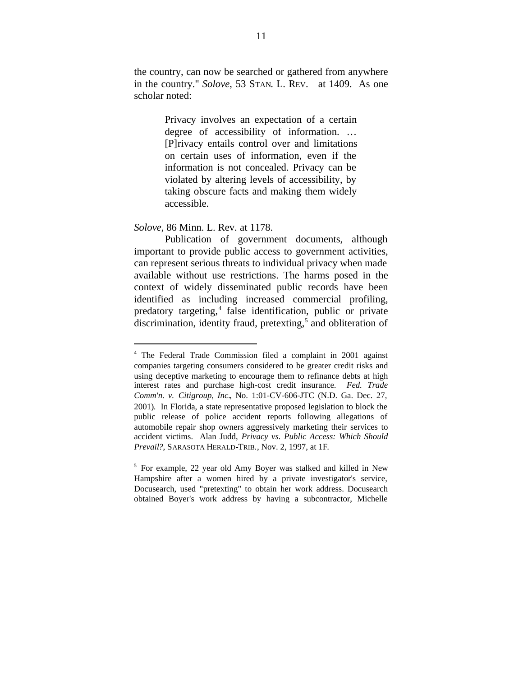the country, can now be searched or gathered from anywhere in the country." *Solove*, 53 STAN. L. REV. at 1409. As one scholar noted:

> Privacy involves an expectation of a certain degree of accessibility of information. … [P]rivacy entails control over and limitations on certain uses of information, even if the information is not concealed. Privacy can be violated by altering levels of accessibility, by taking obscure facts and making them widely accessible.

### *Solove*, 86 Minn. L. Rev. at 1178.

1

Publication of government documents, although important to provide public access to government activities, can represent serious threats to individual privacy when made available without use restrictions. The harms posed in the context of widely disseminated public records have been identified as including increased commercial profiling, predatory targeting,<sup>4</sup> false identification, public or private discrimination, identity fraud, pretexting,<sup>5</sup> and obliteration of

<sup>4</sup> The Federal Trade Commission filed a complaint in 2001 against companies targeting consumers considered to be greater credit risks and using deceptive marketing to encourage them to refinance debts at high interest rates and purchase high-cost credit insurance. *Fed. Trade Comm'n. v. Citigroup, Inc.*, No. 1:01-CV-606-JTC (N.D. Ga. Dec. 27, 2001). In Florida, a state representative proposed legislation to block the public release of police accident reports following allegations of automobile repair shop owners aggressively marketing their services to accident victims. Alan Judd, *Privacy vs. Public Access: Which Should Prevail?*, SARASOTA HERALD-TRIB., Nov. 2, 1997, at 1F.

<sup>5</sup> For example, 22 year old Amy Boyer was stalked and killed in New Hampshire after a women hired by a private investigator's service, Docusearch, used "pretexting" to obtain her work address. Docusearch obtained Boyer's work address by having a subcontractor, Michelle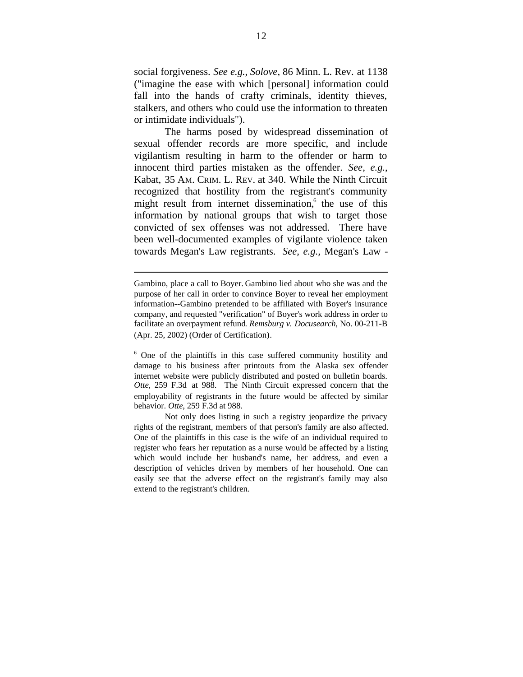social forgiveness. *See e.g.*, *Solove*, 86 Minn. L. Rev. at 1138 ("imagine the ease with which [personal] information could fall into the hands of crafty criminals, identity thieves, stalkers, and others who could use the information to threaten or intimidate individuals").

The harms posed by widespread dissemination of sexual offender records are more specific, and include vigilantism resulting in harm to the offender or harm to innocent third parties mistaken as the offender. *See, e.g.*, Kabat, 35 AM. CRIM. L. REV. at 340. While the Ninth Circuit recognized that hostility from the registrant's community might result from internet dissemination,<sup>6</sup> the use of this information by national groups that wish to target those convicted of sex offenses was not addressed. There have been well-documented examples of vigilante violence taken towards Megan's Law registrants. *See, e.g.,* Megan's Law -

l

Gambino, place a call to Boyer. Gambino lied about who she was and the purpose of her call in order to convince Boyer to reveal her employment information--Gambino pretended to be affiliated with Boyer's insurance company, and requested "verification" of Boyer's work address in order to facilitate an overpayment refund. *Remsburg v. Docusearch*, No. 00-211-B (Apr. 25, 2002) (Order of Certification).

<sup>&</sup>lt;sup>6</sup> One of the plaintiffs in this case suffered community hostility and damage to his business after printouts from the Alaska sex offender internet website were publicly distributed and posted on bulletin boards. *Otte*, 259 F.3d at 988. The Ninth Circuit expressed concern that the employability of registrants in the future would be affected by similar behavior. *Otte*, 259 F.3d at 988.

Not only does listing in such a registry jeopardize the privacy rights of the registrant, members of that person's family are also affected. One of the plaintiffs in this case is the wife of an individual required to register who fears her reputation as a nurse would be affected by a listing which would include her husband's name, her address, and even a description of vehicles driven by members of her household. One can easily see that the adverse effect on the registrant's family may also extend to the registrant's children.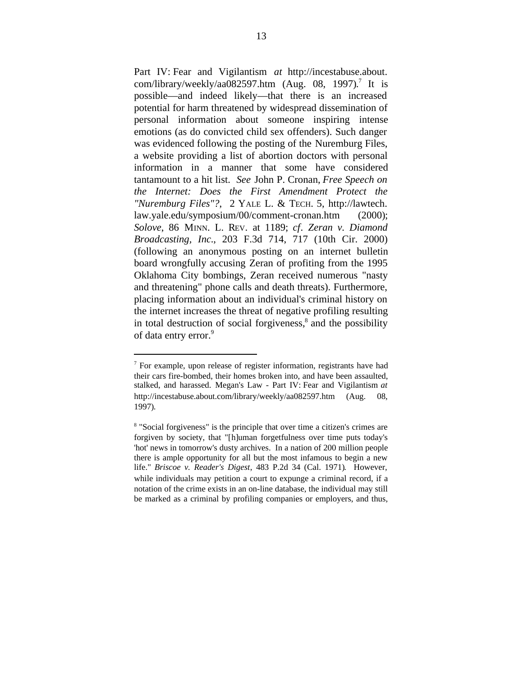Part IV: Fear and Vigilantism *at* [http://incestabuse.about.](http://incestabuse.about) com/library/weekly/aa082597.htm (Aug. 08, 1997). 7 It is possible—and indeed likely—that there is an increased potential for harm threatened by widespread dissemination of personal information about someone inspiring intense emotions (as do convicted child sex offenders). Such danger was evidenced following the posting of the Nuremburg Files, a website providing a list of abortion doctors with personal information in a manner that some have considered tantamount to a hit list. *See* John P. Cronan, *Free Speech on the Internet: Does the First Amendment Protect the "Nuremburg Files"?*, 2 YALE L. & TECH. 5, [http://lawtech.](http://lawtech) law.yale.edu/symposium/00/comment-cronan.htm (2000); *Solove*, 86 MINN. L. REV. at 1189; *cf*. *Zeran v. Diamond Broadcasting, Inc.*, 203 F.3d 714, 717 (10th Cir. 2000) (following an anonymous posting on an internet bulletin board wrongfully accusing Zeran of profiting from the 1995 Oklahoma City bombings, Zeran received numerous "nasty and threatening" phone calls and death threats). Furthermore, placing information about an individual's criminal history on the internet increases the threat of negative profiling resulting in total destruction of social forgiveness,<sup>8</sup> and the possibility of data entry error.<sup>9</sup>

<sup>&</sup>lt;sup>7</sup> For example, upon release of register information, registrants have had their cars fire-bombed, their homes broken into, and have been assaulted, stalked, and harassed. Megan's Law - Part IV: Fear and Vigilantism *at* <http://incestabuse.about.com/library/weekly/aa082597.htm> (Aug. 08, 1997).

<sup>8</sup> "Social forgiveness" is the principle that over time a citizen's crimes are forgiven by society, that "[h]uman forgetfulness over time puts today's 'hot' news in tomorrow's dusty archives. In a nation of 200 million people there is ample opportunity for all but the most infamous to begin a new life." *Briscoe v. Reader's Digest*, 483 P.2d 34 (Cal. 1971). However, while individuals may petition a court to expunge a criminal record, if a notation of the crime exists in an on-line database, the individual may still be marked as a criminal by profiling companies or employers, and thus,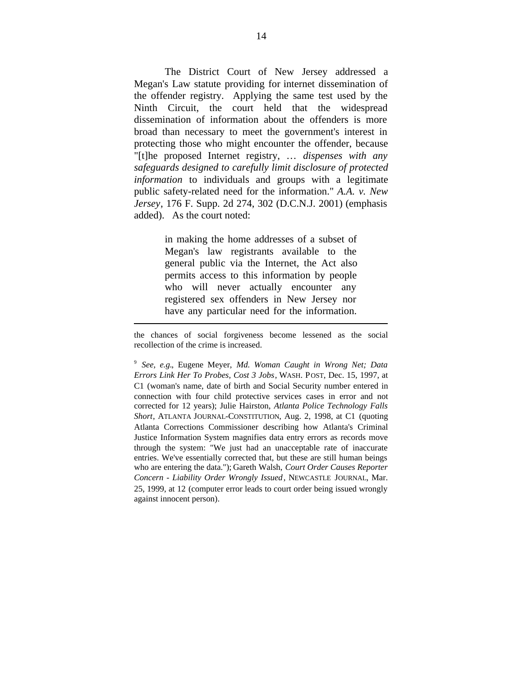The District Court of New Jersey addressed a Megan's Law statute providing for internet dissemination of the offender registry. Applying the same test used by the Ninth Circuit, the court held that the widespread dissemination of information about the offenders is more broad than necessary to meet the government's interest in protecting those who might encounter the offender, because "[t]he proposed Internet registry, … *dispenses with any safeguards designed to carefully limit disclosure of protected information* to individuals and groups with a legitimate public safety-related need for the information." *A.A. v. New Jersey*, 176 F. Supp. 2d 274, 302 (D.C.N.J. 2001) (emphasis added). As the court noted:

> in making the home addresses of a subset of Megan's law registrants available to the general public via the Internet, the Act also permits access to this information by people who will never actually encounter any registered sex offenders in New Jersey nor have any particular need for the information.

l

the chances of social forgiveness become lessened as the social recollection of the crime is increased.

<sup>9</sup> *See, e.g.*, Eugene Meyer, *Md. Woman Caught in Wrong Net; Data Errors Link Her To Probes, Cost 3 Jobs*, WASH. POST, Dec. 15, 1997, at C1 (woman's name, date of birth and Social Security number entered in connection with four child protective services cases in error and not corrected for 12 years); Julie Hairston, *Atlanta Police Technology Falls Short*, ATLANTA JOURNAL-CONSTITUTION, Aug. 2, 1998, at C1 (quoting Atlanta Corrections Commissioner describing how Atlanta's Criminal Justice Information System magnifies data entry errors as records move through the system: "We just had an unacceptable rate of inaccurate entries. We've essentially corrected that, but these are still human beings who are entering the data."); Gareth Walsh, *Court Order Causes Reporter Concern - Liability Order Wrongly Issued*, NEWCASTLE JOURNAL, Mar. 25, 1999, at 12 (computer error leads to court order being issued wrongly against innocent person).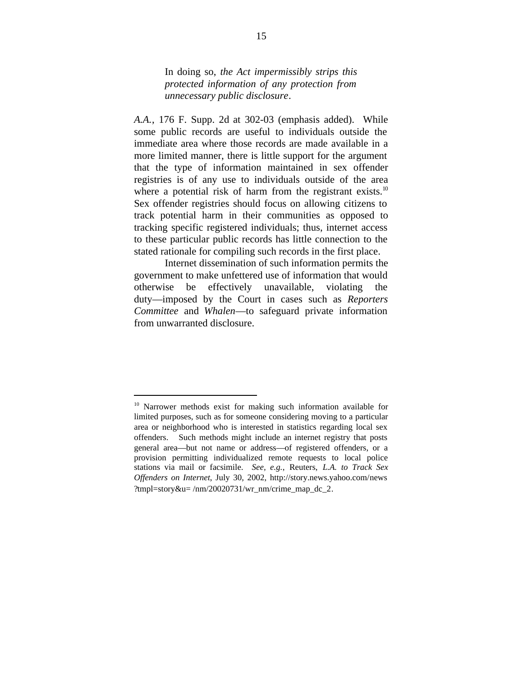In doing so, *the Act impermissibly strips this protected information of any protection from unnecessary public disclosure*.

*A.A.*, 176 F. Supp. 2d at 302-03 (emphasis added). While some public records are useful to individuals outside the immediate area where those records are made available in a more limited manner, there is little support for the argument that the type of information maintained in sex offender registries is of any use to individuals outside of the area where a potential risk of harm from the registrant exists.<sup>10</sup> Sex offender registries should focus on allowing citizens to track potential harm in their communities as opposed to tracking specific registered individuals; thus, internet access to these particular public records has little connection to the stated rationale for compiling such records in the first place.

Internet dissemination of such information permits the government to make unfettered use of information that would otherwise be effectively unavailable, violating the duty—imposed by the Court in cases such as *Reporters Committee* and *Whalen*—to safeguard private information from unwarranted disclosure.

<sup>&</sup>lt;sup>10</sup> Narrower methods exist for making such information available for limited purposes, such as for someone considering moving to a particular area or neighborhood who is interested in statistics regarding local sex offenders. Such methods might include an internet registry that posts general area—but not name or address—of registered offenders, or a provision permitting individualized remote requests to local police stations via mail or facsimile. *See, e.g.*, Reuters, *L.A. to Track Sex Offenders on Internet*, July 30, 2002, <http://story.news.yahoo.com/>news ?tmpl=story&u= /nm/20020731/wr\_nm/crime\_map\_dc\_2.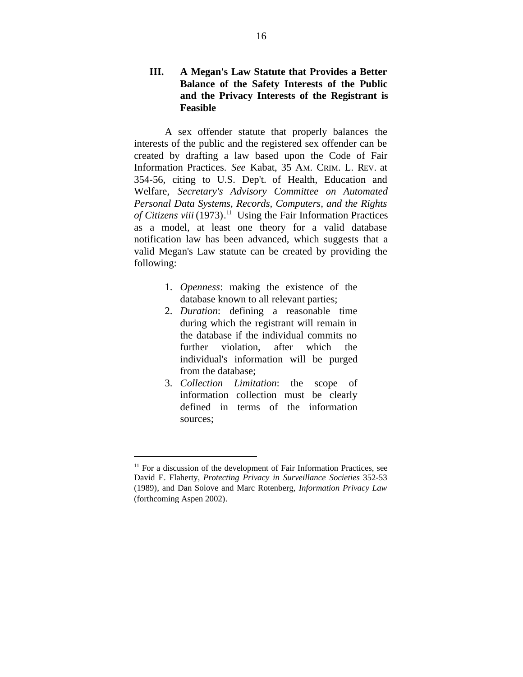## **III. A Megan's Law Statute that Provides a Better Balance of the Safety Interests of the Public and the Privacy Interests of the Registrant is Feasible**

A sex offender statute that properly balances the interests of the public and the registered sex offender can be created by drafting a law based upon the Code of Fair Information Practices. *See* Kabat, 35 AM. CRIM. L. REV. at 354-56, citing to U.S. Dep't. of Health, Education and Welfare, *Secretary's Advisory Committee on Automated Personal Data Systems, Records, Computers, and the Rights of Citizens viii* (1973). 11 Using the Fair Information Practices as a model, at least one theory for a valid database notification law has been advanced, which suggests that a valid Megan's Law statute can be created by providing the following:

- 1. *Openness*: making the existence of the database known to all relevant parties;
- 2. *Duration*: defining a reasonable time during which the registrant will remain in the database if the individual commits no further violation, after which the individual's information will be purged from the database;
- 3. *Collection Limitation*: the scope of information collection must be clearly defined in terms of the information sources;

<sup>&</sup>lt;sup>11</sup> For a discussion of the development of Fair Information Practices, see David E. Flaherty, *Protecting Privacy in Surveillance Societies* 352-53 (1989), and Dan Solove and Marc Rotenberg, *Information Privacy Law* (forthcoming Aspen 2002).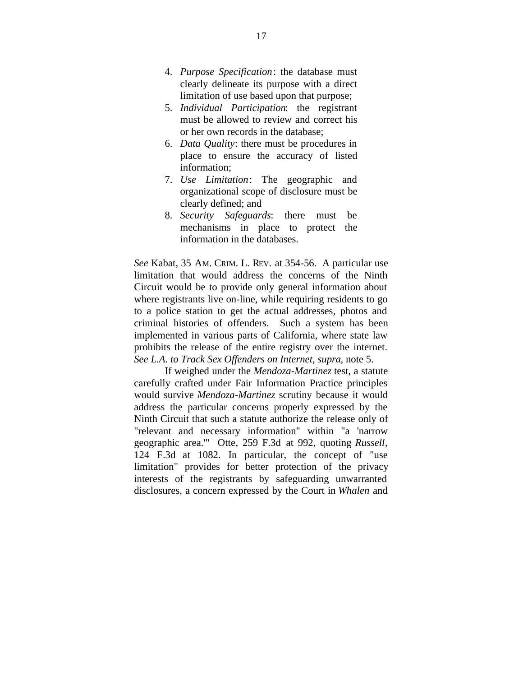- 4. *Purpose Specification*: the database must clearly delineate its purpose with a direct limitation of use based upon that purpose;
- 5. *Individual Participation*: the registrant must be allowed to review and correct his or her own records in the database;
- 6. *Data Quality*: there must be procedures in place to ensure the accuracy of listed information;
- 7. *Use Limitation*: The geographic and organizational scope of disclosure must be clearly defined; and
- 8. *Security Safeguards*: there must be mechanisms in place to protect the information in the databases.

*See* Kabat, 35 AM. CRIM. L. REV. at 354-56. A particular use limitation that would address the concerns of the Ninth Circuit would be to provide only general information about where registrants live on-line, while requiring residents to go to a police station to get the actual addresses, photos and criminal histories of offenders. Such a system has been implemented in various parts of California, where state law prohibits the release of the entire registry over the internet. *See L.A. to Track Sex Offenders on Internet*, *supra,* note 5.

If weighed under the *Mendoza-Martinez* test, a statute carefully crafted under Fair Information Practice principles would survive *Mendoza-Martinez* scrutiny because it would address the particular concerns properly expressed by the Ninth Circuit that such a statute authorize the release only of "relevant and necessary information" within "a 'narrow geographic area.'" Otte, 259 F.3d at 992, quoting *Russell*, 124 F.3d at 1082. In particular, the concept of "use limitation" provides for better protection of the privacy interests of the registrants by safeguarding unwarranted disclosures, a concern expressed by the Court in *Whalen* and